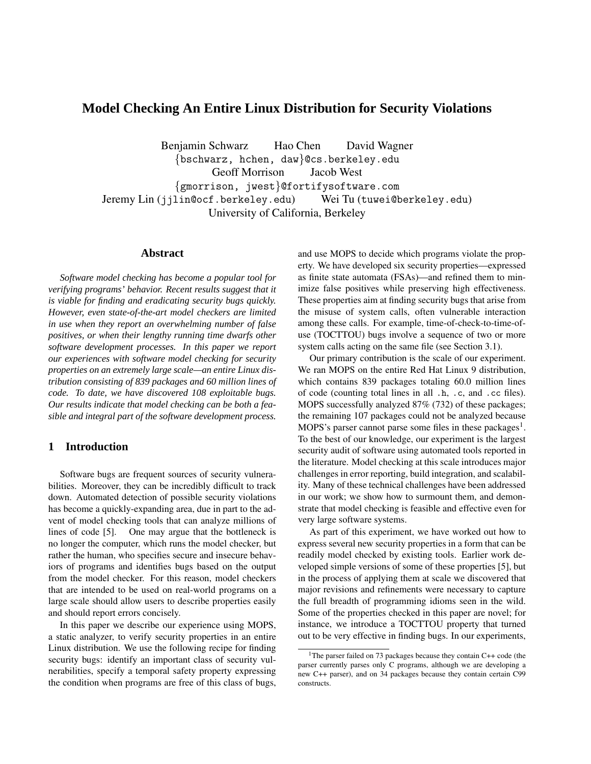# **Model Checking An Entire Linux Distribution for Security Violations**

Benjamin Schwarz Hao Chen David Wagner

{bschwarz, hchen, daw}@cs.berkeley.edu Geoff Morrison Jacob West {gmorrison, jwest}@fortifysoftware.com Jeremy Lin (jjlin@ocf.berkeley.edu) Wei Tu (tuwei@berkeley.edu) University of California, Berkeley

### **Abstract**

*Software model checking has become a popular tool for verifying programs' behavior. Recent results suggest that it is viable for finding and eradicating security bugs quickly. However, even state-of-the-art model checkers are limited in use when they report an overwhelming number of false positives, or when their lengthy running time dwarfs other software development processes. In this paper we report our experiences with software model checking for security properties on an extremely large scale—an entire Linux distribution consisting of 839 packages and 60 million lines of code. To date, we have discovered 108 exploitable bugs. Our results indicate that model checking can be both a feasible and integral part of the software development process.*

## **1 Introduction**

Software bugs are frequent sources of security vulnerabilities. Moreover, they can be incredibly difficult to track down. Automated detection of possible security violations has become a quickly-expanding area, due in part to the advent of model checking tools that can analyze millions of lines of code [5]. One may argue that the bottleneck is no longer the computer, which runs the model checker, but rather the human, who specifies secure and insecure behaviors of programs and identifies bugs based on the output from the model checker. For this reason, model checkers that are intended to be used on real-world programs on a large scale should allow users to describe properties easily and should report errors concisely.

In this paper we describe our experience using MOPS, a static analyzer, to verify security properties in an entire Linux distribution. We use the following recipe for finding security bugs: identify an important class of security vulnerabilities, specify a temporal safety property expressing the condition when programs are free of this class of bugs, and use MOPS to decide which programs violate the property. We have developed six security properties—expressed as finite state automata (FSAs)—and refined them to minimize false positives while preserving high effectiveness. These properties aim at finding security bugs that arise from the misuse of system calls, often vulnerable interaction among these calls. For example, time-of-check-to-time-ofuse (TOCTTOU) bugs involve a sequence of two or more system calls acting on the same file (see Section 3.1).

Our primary contribution is the scale of our experiment. We ran MOPS on the entire Red Hat Linux 9 distribution, which contains 839 packages totaling 60.0 million lines of code (counting total lines in all .h, .c, and .cc files). MOPS successfully analyzed 87% (732) of these packages; the remaining 107 packages could not be analyzed because MOPS's parser cannot parse some files in these packages<sup>1</sup>. To the best of our knowledge, our experiment is the largest security audit of software using automated tools reported in the literature. Model checking at this scale introduces major challenges in error reporting, build integration, and scalability. Many of these technical challenges have been addressed in our work; we show how to surmount them, and demonstrate that model checking is feasible and effective even for very large software systems.

As part of this experiment, we have worked out how to express several new security properties in a form that can be readily model checked by existing tools. Earlier work developed simple versions of some of these properties [5], but in the process of applying them at scale we discovered that major revisions and refinements were necessary to capture the full breadth of programming idioms seen in the wild. Some of the properties checked in this paper are novel; for instance, we introduce a TOCTTOU property that turned out to be very effective in finding bugs. In our experiments,

<sup>1</sup>The parser failed on 73 packages because they contain C++ code (the parser currently parses only C programs, although we are developing a new C++ parser), and on 34 packages because they contain certain C99 constructs.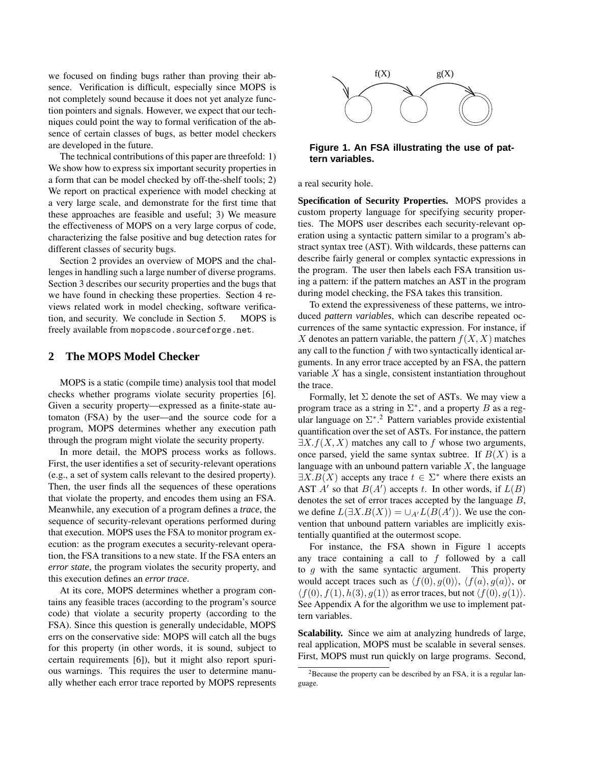we focused on finding bugs rather than proving their absence. Verification is difficult, especially since MOPS is not completely sound because it does not yet analyze function pointers and signals. However, we expect that our techniques could point the way to formal verification of the absence of certain classes of bugs, as better model checkers are developed in the future.

The technical contributions of this paper are threefold: 1) We show how to express six important security properties in a form that can be model checked by off-the-shelf tools; 2) We report on practical experience with model checking at a very large scale, and demonstrate for the first time that these approaches are feasible and useful; 3) We measure the effectiveness of MOPS on a very large corpus of code, characterizing the false positive and bug detection rates for different classes of security bugs.

Section 2 provides an overview of MOPS and the challenges in handling such a large number of diverse programs. Section 3 describes our security properties and the bugs that we have found in checking these properties. Section 4 reviews related work in model checking, software verification, and security. We conclude in Section 5. MOPS is freely available from mopscode.sourceforge.net.

### **2 The MOPS Model Checker**

MOPS is a static (compile time) analysis tool that model checks whether programs violate security properties [6]. Given a security property—expressed as a finite-state automaton (FSA) by the user—and the source code for a program, MOPS determines whether any execution path through the program might violate the security property.

In more detail, the MOPS process works as follows. First, the user identifies a set of security-relevant operations (e.g., a set of system calls relevant to the desired property). Then, the user finds all the sequences of these operations that violate the property, and encodes them using an FSA. Meanwhile, any execution of a program defines a *trace*, the sequence of security-relevant operations performed during that execution. MOPS uses the FSA to monitor program execution: as the program executes a security-relevant operation, the FSA transitions to a new state. If the FSA enters an *error state*, the program violates the security property, and this execution defines an *error trace*.

At its core, MOPS determines whether a program contains any feasible traces (according to the program's source code) that violate a security property (according to the FSA). Since this question is generally undecidable, MOPS errs on the conservative side: MOPS will catch all the bugs for this property (in other words, it is sound, subject to certain requirements [6]), but it might also report spurious warnings. This requires the user to determine manually whether each error trace reported by MOPS represents



## **Figure 1. An FSA illustrating the use of pattern variables.**

a real security hole.

**Specification of Security Properties.** MOPS provides a custom property language for specifying security properties. The MOPS user describes each security-relevant operation using a syntactic pattern similar to a program's abstract syntax tree (AST). With wildcards, these patterns can describe fairly general or complex syntactic expressions in the program. The user then labels each FSA transition using a pattern: if the pattern matches an AST in the program during model checking, the FSA takes this transition.

To extend the expressiveness of these patterns, we introduced *pattern variables*, which can describe repeated occurrences of the same syntactic expression. For instance, if X denotes an pattern variable, the pattern  $f(X, X)$  matches any call to the function  $f$  with two syntactically identical arguments. In any error trace accepted by an FSA, the pattern variable  $X$  has a single, consistent instantiation throughout the trace.

Formally, let  $\Sigma$  denote the set of ASTs. We may view a program trace as a string in  $\Sigma^*$ , and a property B as a regular language on  $\Sigma^*$ .<sup>2</sup> Pattern variables provide existential quantification over the set of ASTs. For instance, the pattern  $\exists X. f(X, X)$  matches any call to f whose two arguments, once parsed, yield the same syntax subtree. If  $B(X)$  is a language with an unbound pattern variable  $X$ , the language  $\exists X.B(X)$  accepts any trace  $t \in \Sigma^*$  where there exists an AST  $A'$  so that  $B(A')$  accepts t. In other words, if  $L(B)$ denotes the set of error traces accepted by the language B, we define  $L(\exists X.B(X)) = \cup_{A'} L(B(A'))$ . We use the convention that unbound pattern variables are implicitly existentially quantified at the outermost scope.

For instance, the FSA shown in Figure 1 accepts any trace containing a call to  $f$  followed by a call to q with the same syntactic argument. This property would accept traces such as  $\langle f(0), g(0) \rangle$ ,  $\langle f(a), g(a) \rangle$ , or  $\langle f(0), f(1), h(3), g(1) \rangle$  as error traces, but not  $\langle f(0), g(1) \rangle$ . See Appendix A for the algorithm we use to implement pattern variables.

**Scalability.** Since we aim at analyzing hundreds of large, real application, MOPS must be scalable in several senses. First, MOPS must run quickly on large programs. Second,

<sup>&</sup>lt;sup>2</sup>Because the property can be described by an FSA, it is a regular language.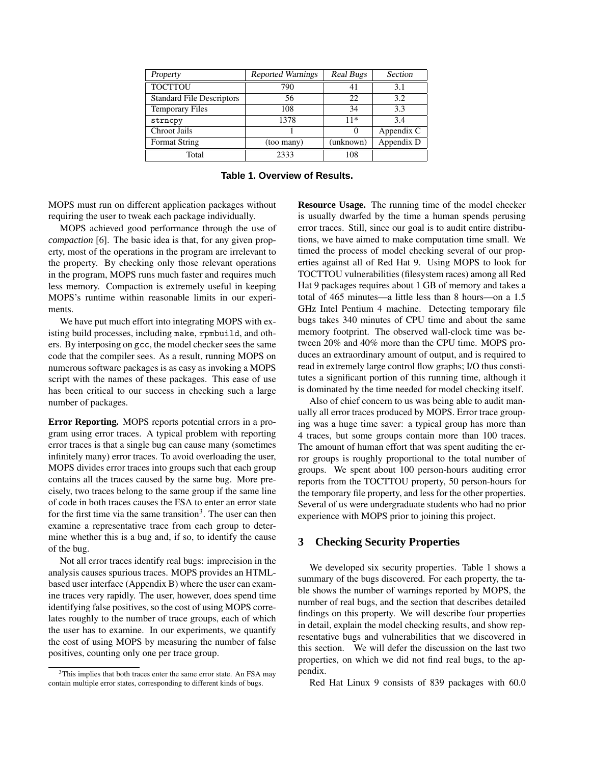| Property                         | <b>Reported Warnings</b> | <b>Real Bugs</b> | Section    |
|----------------------------------|--------------------------|------------------|------------|
| <b>TOCTTOU</b>                   | 790                      | 41               | 3.1        |
| <b>Standard File Descriptors</b> | 56                       | 22               | 3.2        |
| <b>Temporary Files</b>           | 108                      | 34               | 3.3        |
| strncpy                          | 1378                     | $11*$            | 3.4        |
| Chroot Jails                     |                          | $\theta$         | Appendix C |
| Format String                    | (too many)               | (unknown)        | Appendix D |
| Total                            | 2333                     | 108              |            |

**Table 1. Overview of Results.**

MOPS must run on different application packages without requiring the user to tweak each package individually.

MOPS achieved good performance through the use of *compaction* [6]. The basic idea is that, for any given property, most of the operations in the program are irrelevant to the property. By checking only those relevant operations in the program, MOPS runs much faster and requires much less memory. Compaction is extremely useful in keeping MOPS's runtime within reasonable limits in our experiments.

We have put much effort into integrating MOPS with existing build processes, including make, rpmbuild, and others. By interposing on gcc, the model checker seesthe same code that the compiler sees. As a result, running MOPS on numerous software packages is as easy as invoking a MOPS script with the names of these packages. This ease of use has been critical to our success in checking such a large number of packages.

**Error Reporting.** MOPS reports potential errors in a program using error traces. A typical problem with reporting error traces is that a single bug can cause many (sometimes infinitely many) error traces. To avoid overloading the user, MOPS divides error traces into groups such that each group contains all the traces caused by the same bug. More precisely, two traces belong to the same group if the same line of code in both traces causes the FSA to enter an error state for the first time via the same transition<sup>3</sup>. The user can then examine a representative trace from each group to determine whether this is a bug and, if so, to identify the cause of the bug.

Not all error traces identify real bugs: imprecision in the analysis causes spurious traces. MOPS provides an HTMLbased user interface (Appendix B) where the user can examine traces very rapidly. The user, however, does spend time identifying false positives, so the cost of using MOPS correlates roughly to the number of trace groups, each of which the user has to examine. In our experiments, we quantify the cost of using MOPS by measuring the number of false positives, counting only one per trace group.

**Resource Usage.** The running time of the model checker is usually dwarfed by the time a human spends perusing error traces. Still, since our goal is to audit entire distributions, we have aimed to make computation time small. We timed the process of model checking several of our properties against all of Red Hat 9. Using MOPS to look for TOCTTOU vulnerabilities (filesystem races) among all Red Hat 9 packages requires about 1 GB of memory and takes a total of 465 minutes—a little less than 8 hours—on a 1.5 GHz Intel Pentium 4 machine. Detecting temporary file bugs takes 340 minutes of CPU time and about the same memory footprint. The observed wall-clock time was between 20% and 40% more than the CPU time. MOPS produces an extraordinary amount of output, and is required to read in extremely large control flow graphs; I/O thus constitutes a significant portion of this running time, although it is dominated by the time needed for model checking itself.

Also of chief concern to us was being able to audit manually all error traces produced by MOPS. Error trace grouping was a huge time saver: a typical group has more than 4 traces, but some groups contain more than 100 traces. The amount of human effort that was spent auditing the error groups is roughly proportional to the total number of groups. We spent about 100 person-hours auditing error reports from the TOCTTOU property, 50 person-hours for the temporary file property, and less for the other properties. Several of us were undergraduate students who had no prior experience with MOPS prior to joining this project.

### **3 Checking Security Properties**

We developed six security properties. Table 1 shows a summary of the bugs discovered. For each property, the table shows the number of warnings reported by MOPS, the number of real bugs, and the section that describes detailed findings on this property. We will describe four properties in detail, explain the model checking results, and show representative bugs and vulnerabilities that we discovered in this section. We will defer the discussion on the last two properties, on which we did not find real bugs, to the appendix.

Red Hat Linux 9 consists of 839 packages with 60.0

<sup>&</sup>lt;sup>3</sup>This implies that both traces enter the same error state. An FSA may contain multiple error states, corresponding to different kinds of bugs.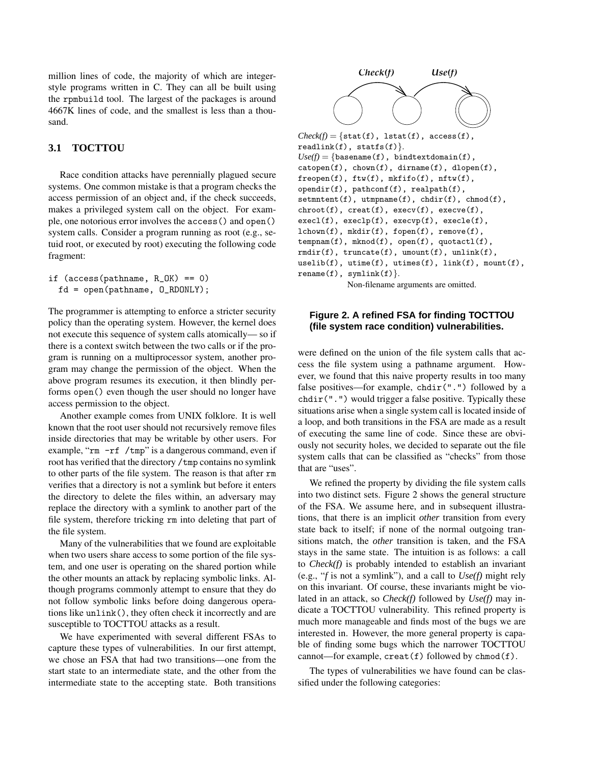million lines of code, the majority of which are integerstyle programs written in C. They can all be built using the rpmbuild tool. The largest of the packages is around 4667K lines of code, and the smallest is less than a thousand.

## **3.1 TOCTTOU**

Race condition attacks have perennially plagued secure systems. One common mistake is that a program checks the access permission of an object and, if the check succeeds, makes a privileged system call on the object. For example, one notorious error involves the access() and open() system calls. Consider a program running as root (e.g., setuid root, or executed by root) executing the following code fragment:

if (access(pathname, R\_OK) == 0) fd = open(pathname, O\_RDONLY);

The programmer is attempting to enforce a stricter security policy than the operating system. However, the kernel does not execute this sequence of system calls atomically— so if there is a context switch between the two calls or if the program is running on a multiprocessor system, another program may change the permission of the object. When the above program resumes its execution, it then blindly performs open() even though the user should no longer have access permission to the object.

Another example comes from UNIX folklore. It is well known that the root user should not recursively remove files inside directories that may be writable by other users. For example, "rm -rf /tmp" is a dangerous command, even if root has verified that the directory / tmp contains no symlink to other parts of the file system. The reason is that after rm verifies that a directory is not a symlink but before it enters the directory to delete the files within, an adversary may replace the directory with a symlink to another part of the file system, therefore tricking rm into deleting that part of the file system.

Many of the vulnerabilities that we found are exploitable when two users share access to some portion of the file system, and one user is operating on the shared portion while the other mounts an attack by replacing symbolic links. Although programs commonly attempt to ensure that they do not follow symbolic links before doing dangerous operations like unlink(), they often check it incorrectly and are susceptible to TOCTTOU attacks as a result.

We have experimented with several different FSAs to capture these types of vulnerabilities. In our first attempt, we chose an FSA that had two transitions—one from the start state to an intermediate state, and the other from the intermediate state to the accepting state. Both transitions



```
chroot(f), creat(f), execv(f), execve(f),
execl(f), execlp(f), execvp(f), execle(f),
lchown(f), mkdir(f), fopen(f), remove(f),
tempnam(f), mknod(f), open(f), quotactl(f),
rmdir(f), truncated(f), umount(f), unlink(f),
uselib(f), utime(f), utimes(f), link(f), mount(f),
\texttt{name}(f), \texttt{symlink}(f).
```
Non-filename arguments are omitted.

## **Figure 2. A refined FSA for finding TOCTTOU (file system race condition) vulnerabilities.**

were defined on the union of the file system calls that access the file system using a pathname argument. However, we found that this naive property results in too many false positives—for example, chdir(".") followed by a chdir(".") would trigger a false positive. Typically these situations arise when a single system call is located inside of a loop, and both transitions in the FSA are made as a result of executing the same line of code. Since these are obviously not security holes, we decided to separate out the file system calls that can be classified as "checks" from those that are "uses".

We refined the property by dividing the file system calls into two distinct sets. Figure 2 shows the general structure of the FSA. We assume here, and in subsequent illustrations, that there is an implicit *other* transition from every state back to itself; if none of the normal outgoing transitions match, the *other* transition is taken, and the FSA stays in the same state. The intuition is as follows: a call to *Check(f)* is probably intended to establish an invariant (e.g., "*f* is not a symlink"), and a call to *Use(f)* might rely on this invariant. Of course, these invariants might be violated in an attack, so *Check(f)* followed by *Use(f)* may indicate a TOCTTOU vulnerability. This refined property is much more manageable and finds most of the bugs we are interested in. However, the more general property is capable of finding some bugs which the narrower TOCTTOU cannot—for example,  $\text{create}(f)$  followed by  $\text{chmod}(f)$ .

The types of vulnerabilities we have found can be classified under the following categories: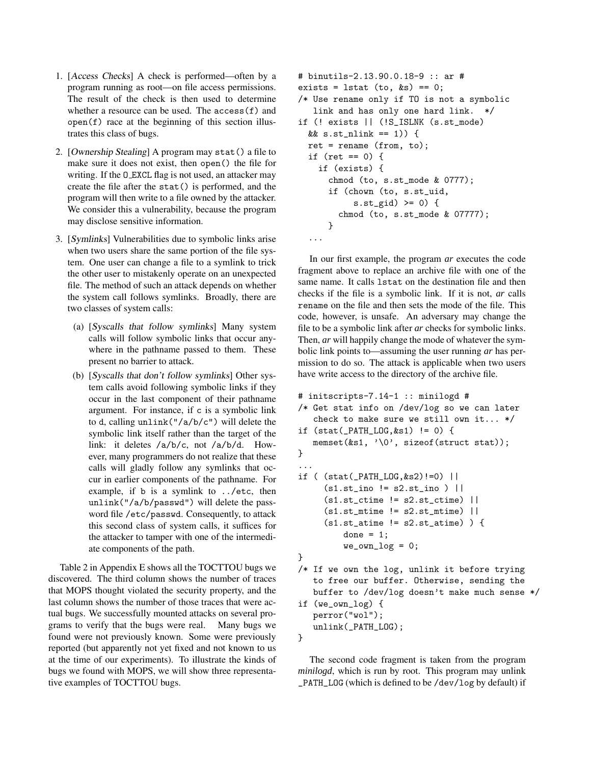- 1. [Access Checks] A check is performed—often by a program running as root—on file access permissions. The result of the check is then used to determine whether a resource can be used. The  $access(f)$  and open(f) race at the beginning of this section illustrates this class of bugs.
- 2. [Ownership Stealing] A program may stat() a file to make sure it does not exist, then open() the file for writing. If the O EXCL flag is not used, an attacker may create the file after the stat() is performed, and the program will then write to a file owned by the attacker. We consider this a vulnerability, because the program may disclose sensitive information.
- 3. [Symlinks] Vulnerabilities due to symbolic links arise when two users share the same portion of the file system. One user can change a file to a symlink to trick the other user to mistakenly operate on an unexpected file. The method of such an attack depends on whether the system call follows symlinks. Broadly, there are two classes of system calls:
	- (a) [Syscalls that follow symlinks] Many system calls will follow symbolic links that occur anywhere in the pathname passed to them. These present no barrier to attack.
	- (b) [Syscalls that don't follow symlinks] Other system calls avoid following symbolic links if they occur in the last component of their pathname argument. For instance, if c is a symbolic link to d, calling unlink("/a/b/c") will delete the symbolic link itself rather than the target of the link: it deletes /a/b/c, not /a/b/d. However, many programmers do not realize that these calls will gladly follow any symlinks that occur in earlier components of the pathname. For example, if b is a symlink to ../etc, then unlink("/a/b/passwd") will delete the password file /etc/passwd. Consequently, to attack this second class of system calls, it suffices for the attacker to tamper with one of the intermediate components of the path.

Table 2 in Appendix E shows all the TOCTTOU bugs we discovered. The third column shows the number of traces that MOPS thought violated the security property, and the last column shows the number of those traces that were actual bugs. We successfully mounted attacks on several programs to verify that the bugs were real. Many bugs we found were not previously known. Some were previously reported (but apparently not yet fixed and not known to us at the time of our experiments). To illustrate the kinds of bugs we found with MOPS, we will show three representative examples of TOCTTOU bugs.

```
# binutils-2.13.90.0.18-9 :: ar #
exists = lstat (to, ks) == 0;
/* Use rename only if TO is not a symbolic
   link and has only one hard link. */
if (! exists || (!S_ISLNK (s.st_mode)
 &  s.st_nlink == 1)) {
 ret = remame (from, to);if (ret == 0) {
    if (exists) {
      chmod (to, s.st_mode & 0777);
      if (chown (to, s.st_uid,
           s.st_gid) >= 0) {
        chmod (to, s.st_mode & 07777);
      }
  ...
```
In our first example, the program *ar* executes the code fragment above to replace an archive file with one of the same name. It calls lstat on the destination file and then checks if the file is a symbolic link. If it is not, *ar* calls rename on the file and then sets the mode of the file. This code, however, is unsafe. An adversary may change the file to be a symbolic link after *ar* checks for symbolic links. Then, *ar* will happily change the mode of whatever the symbolic link points to—assuming the user running *ar* has permission to do so. The attack is applicable when two users have write access to the directory of the archive file.

```
# initscripts-7.14-1 :: minilogd #
/* Get stat info on /dev/log so we can later
   check to make sure we still own it... */
if (stat(_PATH_LOG,&s1) != 0) {
   memset(&s1, '\0', sizeof(struct stat));
}
...
if ( (stat(_PATH_LOG,&s2)!=0) ||
     (s1.st_ino != s2.st_ino ) ||
     (s1.st_ctime != s2.st_ctime)|
     (s1.st_mtime != s2.st_mtime)|
     (s1.st_attribute != s2.st_attribute) ) {
         done = 1;
         we\_own\_log = 0;}
/* If we own the log, unlink it before trying
   to free our buffer. Otherwise, sending the
   buffer to /dev/log doesn't make much sense */
if (we_own_log) {
   perror("wol");
   unlink(_PATH_LOG);
}
```
The second code fragment is taken from the program *minilogd*, which is run by root. This program may unlink \_PATH\_LOG (which is defined to be /dev/log by default) if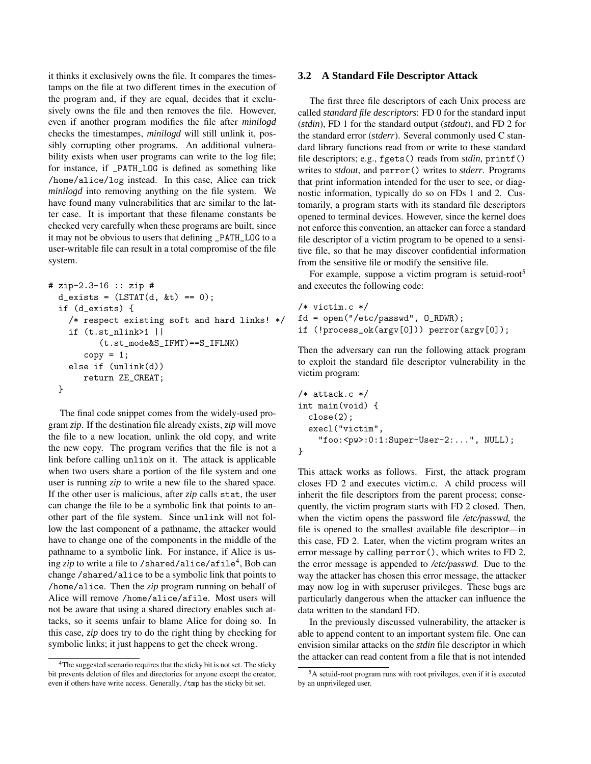it thinks it exclusively owns the file. It compares the timestamps on the file at two different times in the execution of the program and, if they are equal, decides that it exclusively owns the file and then removes the file. However, even if another program modifies the file after *minilogd* checks the timestampes, *minilogd* will still unlink it, possibly corrupting other programs. An additional vulnerability exists when user programs can write to the log file; for instance, if \_PATH\_LOG is defined as something like /home/alice/log instead. In this case, Alice can trick *minilogd* into removing anything on the file system. We have found many vulnerabilities that are similar to the latter case. It is important that these filename constants be checked very carefully when these programs are built, since it may not be obvious to users that defining \_PATH\_LOG to a user-writable file can result in a total compromise of the file system.

```
# zip-2.3-16 :: zip #
  d<sub>-</sub>exists = (LSTAT(d, \&t) == 0);
  if (d_exists) {
    /* respect existing soft and hard links! */
    if (t.st_nlink>1 ||
           (t.st_mode&S_IFMT)==S_IFLNK)
       copy = 1;else if (unlink(d))
       return ZE_CREAT;
  }
```
The final code snippet comes from the widely-used program *zip*. If the destination file already exists, *zip* will move the file to a new location, unlink the old copy, and write the new copy. The program verifies that the file is not a link before calling unlink on it. The attack is applicable when two users share a portion of the file system and one user is running *zip* to write a new file to the shared space. If the other user is malicious, after *zip* calls stat, the user can change the file to be a symbolic link that points to another part of the file system. Since unlink will not follow the last component of a pathname, the attacker would have to change one of the components in the middle of the pathname to a symbolic link. For instance, if Alice is using *zip* to write a file to /shared/alice/afile<sup>4</sup>, Bob can change /shared/alice to be a symbolic link that points to /home/alice. Then the *zip* program running on behalf of Alice will remove /home/alice/afile. Most users will not be aware that using a shared directory enables such attacks, so it seems unfair to blame Alice for doing so. In this case, *zip* does try to do the right thing by checking for symbolic links; it just happens to get the check wrong.

#### **3.2 A Standard File Descriptor Attack**

The first three file descriptors of each Unix process are called *standard file descriptors*: FD 0 for the standard input (*stdin*), FD 1 for the standard output (*stdout*), and FD 2 for the standard error (*stderr*). Several commonly used C standard library functions read from or write to these standard file descriptors; e.g., fgets() reads from *stdin*, printf() writes to *stdout*, and perror() writes to *stderr*. Programs that print information intended for the user to see, or diagnostic information, typically do so on FDs 1 and 2. Customarily, a program starts with its standard file descriptors opened to terminal devices. However, since the kernel does not enforce this convention, an attacker can force a standard file descriptor of a victim program to be opened to a sensitive file, so that he may discover confidential information from the sensitive file or modify the sensitive file.

For example, suppose a victim program is setuid-root<sup>5</sup> and executes the following code:

/\* victim.c \*/ fd = open("/etc/passwd", O\_RDWR); if (!process\_ok(argv[0])) perror(argv[0]);

Then the adversary can run the following attack program to exploit the standard file descriptor vulnerability in the victim program:

```
/* attack.c */
int main(void) {
  close(2);
  execl("victim",
    "foo:<pw>:0:1:Super-User-2:...", NULL);
}
```
This attack works as follows. First, the attack program closes FD 2 and executes victim.c. A child process will inherit the file descriptors from the parent process; consequently, the victim program starts with FD 2 closed. Then, when the victim opens the password file /etc/passwd, the file is opened to the smallest available file descriptor—in this case, FD 2. Later, when the victim program writes an error message by calling perror(), which writes to FD 2, the error message is appended to /etc/passwd. Due to the way the attacker has chosen this error message, the attacker may now log in with superuser privileges. These bugs are particularly dangerous when the attacker can influence the data written to the standard FD.

In the previously discussed vulnerability, the attacker is able to append content to an important system file. One can envision similar attacks on the *stdin* file descriptor in which the attacker can read content from a file that is not intended

<sup>&</sup>lt;sup>4</sup>The suggested scenario requires that the sticky bit is not set. The sticky bit prevents deletion of files and directories for anyone except the creator, even if others have write access. Generally, /tmp has the sticky bit set.

<sup>5</sup>A setuid-root program runs with root privileges, even if it is executed by an unprivileged user.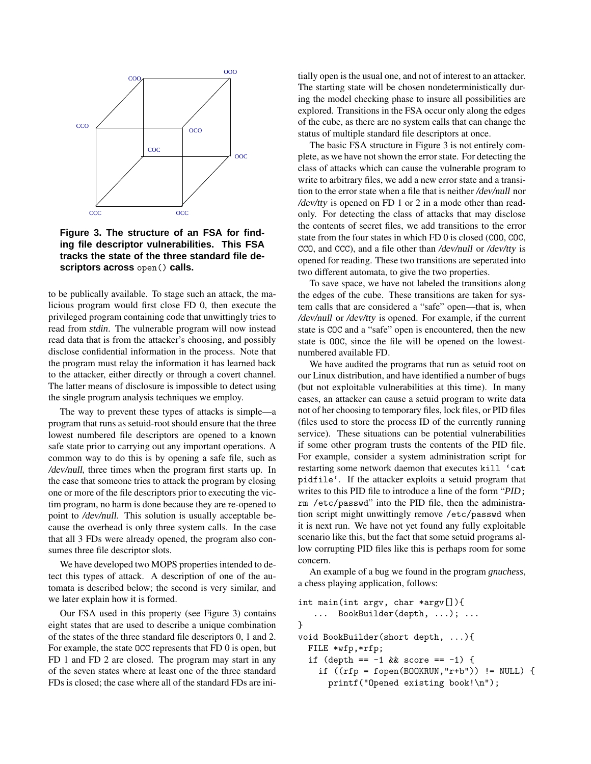

**Figure 3. The structure of an FSA for finding file descriptor vulnerabilities. This FSA tracks the state of the three standard file descriptors across** open() **calls.**

to be publically available. To stage such an attack, the malicious program would first close FD 0, then execute the privileged program containing code that unwittingly tries to read from *stdin*. The vulnerable program will now instead read data that is from the attacker's choosing, and possibly disclose confidential information in the process. Note that the program must relay the information it has learned back to the attacker, either directly or through a covert channel. The latter means of disclosure is impossible to detect using the single program analysis techniques we employ.

The way to prevent these types of attacks is simple—a program that runs as setuid-root should ensure that the three lowest numbered file descriptors are opened to a known safe state prior to carrying out any important operations. A common way to do this is by opening a safe file, such as /dev/null, three times when the program first starts up. In the case that someone tries to attack the program by closing one or more of the file descriptors prior to executing the victim program, no harm is done because they are re-opened to point to /dev/null. This solution is usually acceptable because the overhead is only three system calls. In the case that all 3 FDs were already opened, the program also consumes three file descriptor slots.

We have developed two MOPS properties intended to detect this types of attack. A description of one of the automata is described below; the second is very similar, and we later explain how it is formed.

Our FSA used in this property (see Figure 3) contains eight states that are used to describe a unique combination of the states of the three standard file descriptors 0, 1 and 2. For example, the state OCC represents that FD 0 is open, but FD 1 and FD 2 are closed. The program may start in any of the seven states where at least one of the three standard FDs is closed; the case where all of the standard FDs are initially open is the usual one, and not of interest to an attacker. The starting state will be chosen nondeterministically during the model checking phase to insure all possibilities are explored. Transitions in the FSA occur only along the edges of the cube, as there are no system calls that can change the status of multiple standard file descriptors at once.

The basic FSA structure in Figure 3 is not entirely complete, as we have not shown the error state. For detecting the class of attacks which can cause the vulnerable program to write to arbitrary files, we add a new error state and a transition to the error state when a file that is neither /dev/null nor /dev/tty is opened on FD 1 or 2 in a mode other than readonly. For detecting the class of attacks that may disclose the contents of secret files, we add transitions to the error state from the four states in which FD 0 is closed (COO, COC, CCO, and CCC), and a file other than /dev/null or /dev/tty is opened for reading. These two transitions are seperated into two different automata, to give the two properties.

To save space, we have not labeled the transitions along the edges of the cube. These transitions are taken for system calls that are considered a "safe" open—that is, when /dev/null or /dev/tty is opened. For example, if the current state is COC and a "safe" open is encountered, then the new state is OOC, since the file will be opened on the lowestnumbered available FD.

We have audited the programs that run as setuid root on our Linux distribution, and have identified a number of bugs (but not exploitable vulnerabilities at this time). In many cases, an attacker can cause a setuid program to write data not of her choosing to temporary files, lock files, or PID files (files used to store the process ID of the currently running service). These situations can be potential vulnerabilities if some other program trusts the contents of the PID file. For example, consider a system administration script for restarting some network daemon that executes kill 'cat pidfile'. If the attacker exploits a setuid program that writes to this PID file to introduce a line of the form "*PID*; rm /etc/passwd" into the PID file, then the administration script might unwittingly remove /etc/passwd when it is next run. We have not yet found any fully exploitable scenario like this, but the fact that some setuid programs allow corrupting PID files like this is perhaps room for some concern.

An example of a bug we found in the program *gnuchess*, a chess playing application, follows:

```
int main(int argv, char *argv[]){
   ... BookBuilder(depth, ...); ...
}
void BookBuilder(short depth, ...){
 FILE *wfp,*rfp;
  if (depth == -1 && score == -1) {
    if ((rfp = fopen(BOOKRUN,"r+b")) != NULL) {
     printf("Opened existing book!\n");
```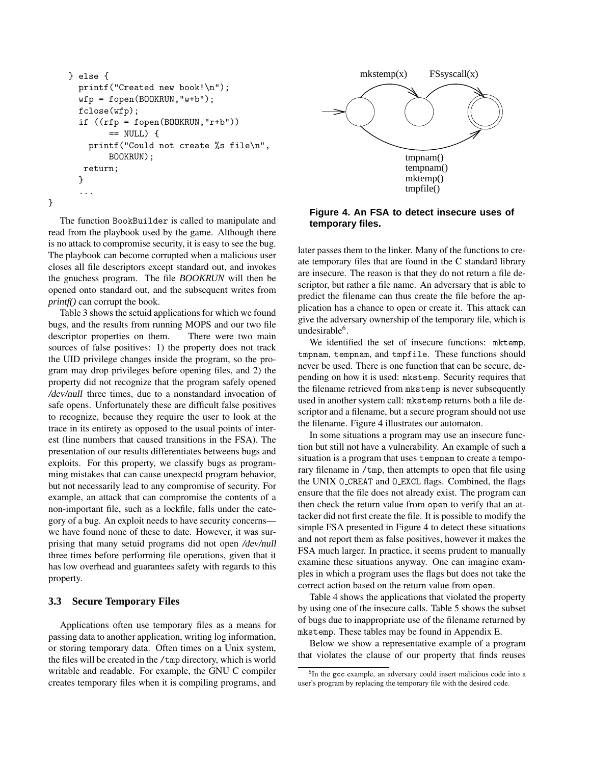```
} else {
 printf("Created new book!\n");
  wfp = fopen(BOOKRUN, "w+b");
  fclose(wfp);
  if ((rfp = fopen(BOOKRUN, "r+b")))== NULL) {
    printf("Could not create %s file\n",
        BOOKRUN);
  return;
  }
  ...
```
The function BookBuilder is called to manipulate and read from the playbook used by the game. Although there is no attack to compromise security, it is easy to see the bug. The playbook can become corrupted when a malicious user closes all file descriptors except standard out, and invokes the gnuchess program. The file *BOOKRUN* will then be opened onto standard out, and the subsequent writes from *printf()* can corrupt the book.

}

Table 3 shows the setuid applications for which we found bugs, and the results from running MOPS and our two file descriptor properties on them. There were two main sources of false positives: 1) the property does not track the UID privilege changes inside the program, so the program may drop privileges before opening files, and 2) the property did not recognize that the program safely opened /dev/null three times, due to a nonstandard invocation of safe opens. Unfortunately these are difficult false positives to recognize, because they require the user to look at the trace in its entirety as opposed to the usual points of interest (line numbers that caused transitions in the FSA). The presentation of our results differentiates betweens bugs and exploits. For this property, we classify bugs as programming mistakes that can cause unexpectd program behavior, but not necessarily lead to any compromise of security. For example, an attack that can compromise the contents of a non-important file, such as a lockfile, falls under the category of a bug. An exploit needs to have security concerns we have found none of these to date. However, it was surprising that many setuid programs did not open /dev/null three times before performing file operations, given that it has low overhead and guarantees safety with regards to this property.

#### **3.3 Secure Temporary Files**

Applications often use temporary files as a means for passing data to another application, writing log information, or storing temporary data. Often times on a Unix system, the files will be created in the /tmp directory, which is world writable and readable. For example, the GNU C compiler creates temporary files when it is compiling programs, and



### **Figure 4. An FSA to detect insecure uses of temporary files.**

later passes them to the linker. Many of the functions to create temporary files that are found in the C standard library are insecure. The reason is that they do not return a file descriptor, but rather a file name. An adversary that is able to predict the filename can thus create the file before the application has a chance to open or create it. This attack can give the adversary ownership of the temporary file, which is undesirable<sup>6</sup>.

We identified the set of insecure functions: mktemp, tmpnam, tempnam, and tmpfile. These functions should never be used. There is one function that can be secure, depending on how it is used: mkstemp. Security requires that the filename retrieved from mkstemp is never subsequently used in another system call: mkstemp returns both a file descriptor and a filename, but a secure program should not use the filename. Figure 4 illustrates our automaton.

In some situations a program may use an insecure function but still not have a vulnerability. An example of such a situation is a program that uses tempnam to create a temporary filename in /tmp, then attempts to open that file using the UNIX O CREAT and O EXCL flags. Combined, the flags ensure that the file does not already exist. The program can then check the return value from open to verify that an attacker did not first create the file. It is possible to modify the simple FSA presented in Figure 4 to detect these situations and not report them as false positives, however it makes the FSA much larger. In practice, it seems prudent to manually examine these situations anyway. One can imagine examples in which a program uses the flags but does not take the correct action based on the return value from open.

Table 4 shows the applications that violated the property by using one of the insecure calls. Table 5 shows the subset of bugs due to inappropriate use of the filename returned by mkstemp. These tables may be found in Appendix E.

Below we show a representative example of a program that violates the clause of our property that finds reuses

<sup>&</sup>lt;sup>6</sup>In the gcc example, an adversary could insert malicious code into a user's program by replacing the temporary file with the desired code.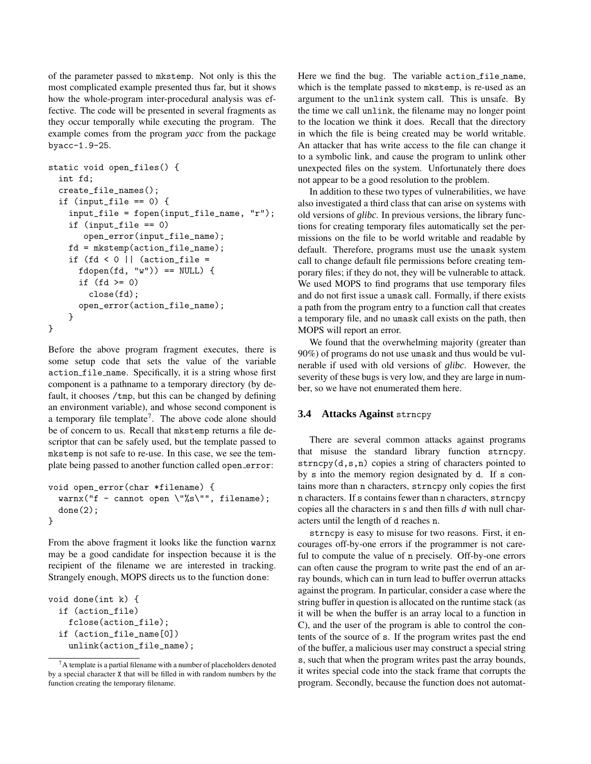of the parameter passed to mkstemp. Not only is this the most complicated example presented thus far, but it shows how the whole-program inter-procedural analysis was effective. The code will be presented in several fragments as they occur temporally while executing the program. The example comes from the program *yacc* from the package byacc-1.9-25.

```
static void open_files() {
  int fd;
  create_file_names();
  if (input_file == 0) {
    input_file = fopen(input_file_name, "r");if (input_file == 0)
       open_error(input_file_name);
    fd = mkstemp(action_file_name);
    if (fd < 0 || (action_file =
      f\text{dopen}(fd, "w")) == NULL) {
      if (fd \geq 0)close(fd);
      open_error(action_file_name);
    }
}
```
Before the above program fragment executes, there is some setup code that sets the value of the variable action file name. Specifically, it is a string whose first component is a pathname to a temporary directory (by default, it chooses /tmp, but this can be changed by defining an environment variable), and whose second component is a temporary file template<sup>7</sup>. The above code alone should be of concern to us. Recall that mkstemp returns a file descriptor that can be safely used, but the template passed to mkstemp is not safe to re-use. In this case, we see the template being passed to another function called open error:

```
void open_error(char *filename) {
  warnx("f - cannot open \"%s\"", filename);
  done(2);
}
```
From the above fragment it looks like the function warnx may be a good candidate for inspection because it is the recipient of the filename we are interested in tracking. Strangely enough, MOPS directs us to the function done:

```
void done(int k) {
  if (action_file)
    fclose(action_file);
  if (action_file_name[0])
    unlink(action_file_name);
```
Here we find the bug. The variable action file name, which is the template passed to mkstemp, is re-used as an argument to the unlink system call. This is unsafe. By the time we call unlink, the filename may no longer point to the location we think it does. Recall that the directory in which the file is being created may be world writable. An attacker that has write access to the file can change it to a symbolic link, and cause the program to unlink other unexpected files on the system. Unfortunately there does not appear to be a good resolution to the problem.

In addition to these two types of vulnerabilities, we have also investigated a third class that can arise on systems with old versions of *glibc*. In previous versions, the library functions for creating temporary files automatically set the permissions on the file to be world writable and readable by default. Therefore, programs must use the umask system call to change default file permissions before creating temporary files; if they do not, they will be vulnerable to attack. We used MOPS to find programs that use temporary files and do not first issue a umask call. Formally, if there exists a path from the program entry to a function call that creates a temporary file, and no umask call exists on the path, then MOPS will report an error.

We found that the overwhelming majority (greater than 90%) of programs do not use umask and thus would be vulnerable if used with old versions of *glibc*. However, the severity of these bugs is very low, and they are large in number, so we have not enumerated them here.

## **3.4 Attacks Against** strncpy

There are several common attacks against programs that misuse the standard library function strncpy. strncpy(d,s,n) copies a string of characters pointed to by s into the memory region designated by d. If s contains more than n characters, strncpy only copies the first n characters. If s contains fewer than n characters, strncpy copies all the characters in *s* and then fills *d* with null characters until the length of d reaches n.

strncpy is easy to misuse for two reasons. First, it encourages off-by-one errors if the programmer is not careful to compute the value of n precisely. Off-by-one errors can often cause the program to write past the end of an array bounds, which can in turn lead to buffer overrun attacks against the program. In particular, consider a case where the string buffer in question is allocated on the runtime stack (as it will be when the buffer is an array local to a function in C), and the user of the program is able to control the contents of the source of s. If the program writes past the end of the buffer, a malicious user may construct a special string s, such that when the program writes past the array bounds, it writes special code into the stack frame that corrupts the program. Secondly, because the function does not automat-

 ${}^{7}$ A template is a partial filename with a number of placeholders denoted by a special character X that will be filled in with random numbers by the function creating the temporary filename.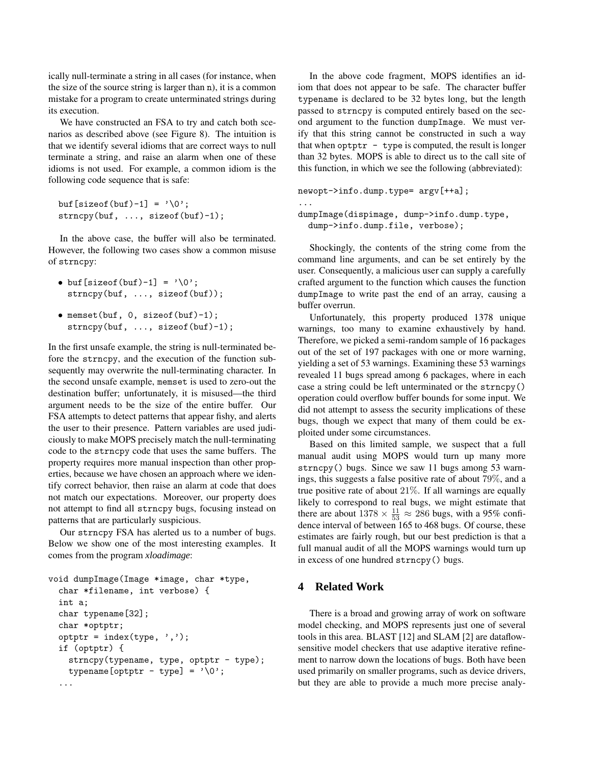ically null-terminate a string in all cases (for instance, when the size of the source string is larger than n), it is a common mistake for a program to create unterminated strings during its execution.

We have constructed an FSA to try and catch both scenarios as described above (see Figure 8). The intuition is that we identify several idioms that are correct ways to null terminate a string, and raise an alarm when one of these idioms is not used. For example, a common idiom is the following code sequence that is safe:

```
buf [sizeof(buf)-1] = \sqrt{0'};
strncpy(buf, \ldots, sizeof(buf)-1);
```
In the above case, the buffer will also be terminated. However, the following two cases show a common misuse of strncpy:

- buf  $[sizeof(buf)-1] = ' \0$ ; strncpy(buf, ..., sizeof(buf));
- memset(buf, 0, sizeof(buf)-1); strncpy(buf, ..., sizeof(buf)-1);

In the first unsafe example, the string is null-terminated before the strncpy, and the execution of the function subsequently may overwrite the null-terminating character. In the second unsafe example, memset is used to zero-out the destination buffer; unfortunately, it is misused—the third argument needs to be the size of the entire buffer. Our FSA attempts to detect patterns that appear fishy, and alerts the user to their presence. Pattern variables are used judiciously to make MOPS precisely match the null-terminating code to the strncpy code that uses the same buffers. The property requires more manual inspection than other properties, because we have chosen an approach where we identify correct behavior, then raise an alarm at code that does not match our expectations. Moreover, our property does not attempt to find all strncpy bugs, focusing instead on patterns that are particularly suspicious.

Our strncpy FSA has alerted us to a number of bugs. Below we show one of the most interesting examples. It comes from the program *xloadimage*:

```
void dumpImage(Image *image, char *type,
  char *filename, int verbose) {
  int a;
  char typename[32];
  char *optptr;
  optptr = index(type, ', ');
  if (optptr) {
    strncpy(typename, type, optptr - type);
    typename[optptr - type] = '\0;
  ...
```
In the above code fragment, MOPS identifies an idiom that does not appear to be safe. The character buffer typename is declared to be 32 bytes long, but the length passed to strncpy is computed entirely based on the second argument to the function dumpImage. We must verify that this string cannot be constructed in such a way that when  $optpr - type$  is computed, the result is longer than 32 bytes. MOPS is able to direct us to the call site of this function, in which we see the following (abbreviated):

```
newopt->info.dump.type= argv[++a];
```

```
...
```

```
dumpImage(dispimage, dump->info.dump.type,
  dump->info.dump.file, verbose);
```
Shockingly, the contents of the string come from the command line arguments, and can be set entirely by the user. Consequently, a malicious user can supply a carefully crafted argument to the function which causes the function dumpImage to write past the end of an array, causing a buffer overrun.

Unfortunately, this property produced 1378 unique warnings, too many to examine exhaustively by hand. Therefore, we picked a semi-random sample of 16 packages out of the set of 197 packages with one or more warning, yielding a set of 53 warnings. Examining these 53 warnings revealed 11 bugs spread among 6 packages, where in each case a string could be left unterminated or the strncpy() operation could overflow buffer bounds for some input. We did not attempt to assess the security implications of these bugs, though we expect that many of them could be exploited under some circumstances.

Based on this limited sample, we suspect that a full manual audit using MOPS would turn up many more strncpy() bugs. Since we saw 11 bugs among 53 warnings, this suggests a false positive rate of about 79%, and a true positive rate of about 21%. If all warnings are equally likely to correspond to real bugs, we might estimate that there are about  $1378 \times \frac{11}{53} \approx 286$  bugs, with a 95% confidence interval of between 165 to 468 bugs. Of course, these estimates are fairly rough, but our best prediction is that a full manual audit of all the MOPS warnings would turn up in excess of one hundred strncpy() bugs.

# **4 Related Work**

There is a broad and growing array of work on software model checking, and MOPS represents just one of several tools in this area. BLAST [12] and SLAM [2] are dataflowsensitive model checkers that use adaptive iterative refinement to narrow down the locations of bugs. Both have been used primarily on smaller programs, such as device drivers, but they are able to provide a much more precise analy-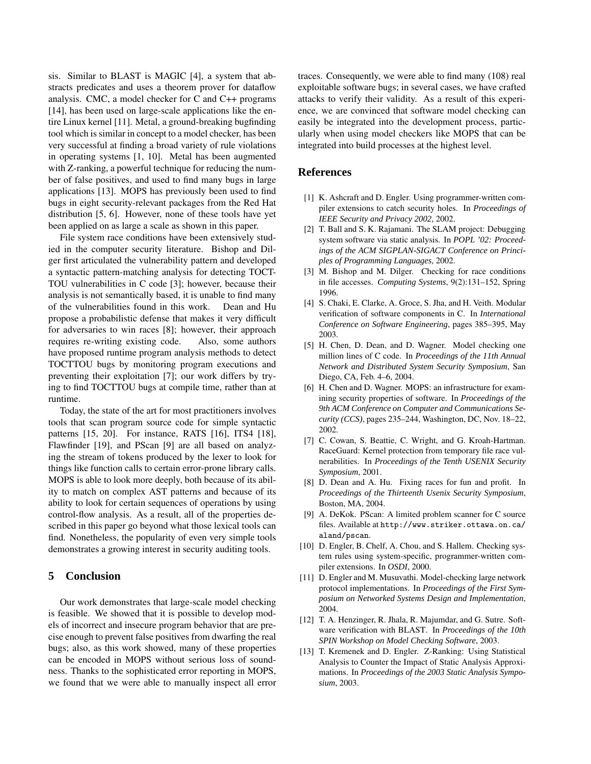sis. Similar to BLAST is MAGIC [4], a system that abstracts predicates and uses a theorem prover for dataflow analysis. CMC, a model checker for C and C++ programs [14], has been used on large-scale applications like the entire Linux kernel [11]. Metal, a ground-breaking bugfinding tool which is similar in concept to a model checker, has been very successful at finding a broad variety of rule violations in operating systems [1, 10]. Metal has been augmented with Z-ranking, a powerful technique for reducing the number of false positives, and used to find many bugs in large applications [13]. MOPS has previously been used to find bugs in eight security-relevant packages from the Red Hat distribution [5, 6]. However, none of these tools have yet been applied on as large a scale as shown in this paper.

File system race conditions have been extensively studied in the computer security literature. Bishop and Dilger first articulated the vulnerability pattern and developed a syntactic pattern-matching analysis for detecting TOCT-TOU vulnerabilities in C code [3]; however, because their analysis is not semantically based, it is unable to find many of the vulnerabilities found in this work. Dean and Hu propose a probabilistic defense that makes it very difficult for adversaries to win races [8]; however, their approach requires re-writing existing code. Also, some authors have proposed runtime program analysis methods to detect TOCTTOU bugs by monitoring program executions and preventing their exploitation [7]; our work differs by trying to find TOCTTOU bugs at compile time, rather than at runtime.

Today, the state of the art for most practitioners involves tools that scan program source code for simple syntactic patterns [15, 20]. For instance, RATS [16], ITS4 [18], Flawfinder [19], and PScan [9] are all based on analyzing the stream of tokens produced by the lexer to look for things like function calls to certain error-prone library calls. MOPS is able to look more deeply, both because of its ability to match on complex AST patterns and because of its ability to look for certain sequences of operations by using control-flow analysis. As a result, all of the properties described in this paper go beyond what those lexical tools can find. Nonetheless, the popularity of even very simple tools demonstrates a growing interest in security auditing tools.

## **5 Conclusion**

Our work demonstrates that large-scale model checking is feasible. We showed that it is possible to develop models of incorrect and insecure program behavior that are precise enough to prevent false positives from dwarfing the real bugs; also, as this work showed, many of these properties can be encoded in MOPS without serious loss of soundness. Thanks to the sophisticated error reporting in MOPS, we found that we were able to manually inspect all error traces. Consequently, we were able to find many (108) real exploitable software bugs; in several cases, we have crafted attacks to verify their validity. As a result of this experience, we are convinced that software model checking can easily be integrated into the development process, particularly when using model checkers like MOPS that can be integrated into build processes at the highest level.

## **References**

- [1] K. Ashcraft and D. Engler. Using programmer-written compiler extensions to catch security holes. In *Proceedings of IEEE Security and Privacy 2002*, 2002.
- [2] T. Ball and S. K. Rajamani. The SLAM project: Debugging system software via static analysis. In *POPL '02: Proceedings of the ACM SIGPLAN-SIGACT Conference on Principles of Programming Languages*, 2002.
- [3] M. Bishop and M. Dilger. Checking for race conditions in file accesses. *Computing Systems*, 9(2):131–152, Spring 1996.
- [4] S. Chaki, E. Clarke, A. Groce, S. Jha, and H. Veith. Modular verification of software components in C. In *International Conference on Software Engineering*, pages 385–395, May 2003.
- [5] H. Chen, D. Dean, and D. Wagner. Model checking one million lines of C code. In *Proceedings of the 11th Annual Network and Distributed System Security Symposium*, San Diego, CA, Feb. 4–6, 2004.
- [6] H. Chen and D. Wagner. MOPS: an infrastructure for examining security properties of software. In *Proceedings of the 9th ACM Conference on Computer and Communications Security (CCS)*, pages 235–244, Washington, DC, Nov. 18–22, 2002.
- [7] C. Cowan, S. Beattie, C. Wright, and G. Kroah-Hartman. RaceGuard: Kernel protection from temporary file race vulnerabilities. In *Proceedings of the Tenth USENIX Security Symposium*, 2001.
- [8] D. Dean and A. Hu. Fixing races for fun and profit. In *Proceedings of the Thirteenth Usenix Security Symposium*, Boston, MA, 2004.
- [9] A. DeKok. PScan: A limited problem scanner for C source files. Available at http://www.striker.ottawa.on.ca/ aland/pscan.
- [10] D. Engler, B. Chelf, A. Chou, and S. Hallem. Checking system rules using system-specific, programmer-written compiler extensions. In *OSDI*, 2000.
- [11] D. Engler and M. Musuvathi. Model-checking large network protocol implementations. In *Proceedings of the First Symposium on Networked Systems Design and Implementation*, 2004.
- [12] T. A. Henzinger, R. Jhala, R. Majumdar, and G. Sutre. Software verification with BLAST. In *Proceedings of the 10th SPIN Workshop on Model Checking Software*, 2003.
- [13] T. Kremenek and D. Engler. Z-Ranking: Using Statistical Analysis to Counter the Impact of Static Analysis Approximations. In *Proceedings of the 2003 Static Analysis Symposium*, 2003.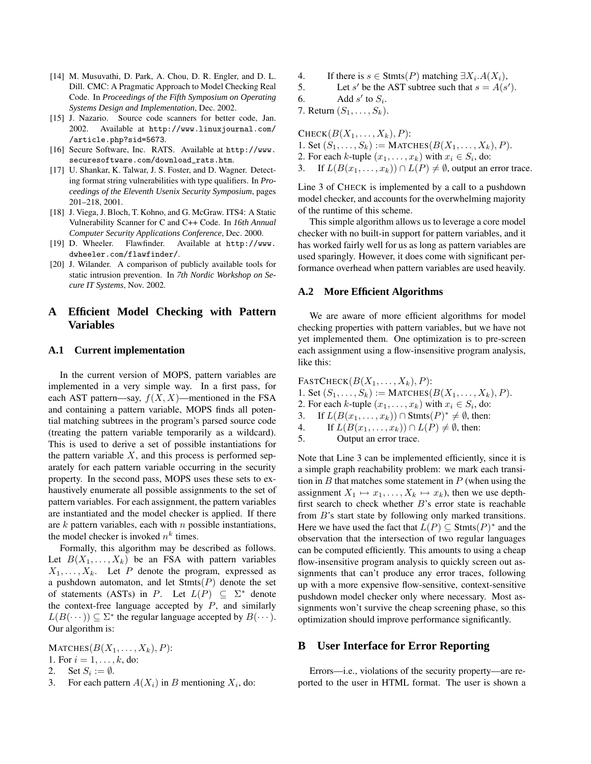- [14] M. Musuvathi, D. Park, A. Chou, D. R. Engler, and D. L. Dill. CMC: A Pragmatic Approach to Model Checking Real Code. In *Proceedings of the Fifth Symposium on Operating Systems Design and Implementation*, Dec. 2002.
- [15] J. Nazario. Source code scanners for better code, Jan. 2002. Available at http://www.linuxjournal.com/ /article.php?sid=5673.
- [16] Secure Software, Inc. RATS. Available at http://www. securesoftware.com/download\_rats.htm.
- [17] U. Shankar, K. Talwar, J. S. Foster, and D. Wagner. Detecting format string vulnerabilities with type qualifiers. In *Proceedings of the Eleventh Usenix Security Symposium*, pages 201–218, 2001.
- [18] J. Viega, J. Bloch, T. Kohno, and G. McGraw. ITS4: A Static Vulnerability Scanner for C and C++ Code. In *16th Annual Computer Security Applications Conference*, Dec. 2000.
- [19] D. Wheeler. Flawfinder. Available at http://www. dwheeler.com/flawfinder/.
- [20] J. Wilander. A comparison of publicly available tools for static intrusion prevention. In *7th Nordic Workshop on Secure IT Systems*, Nov. 2002.

# **A Efficient Model Checking with Pattern Variables**

### **A.1 Current implementation**

In the current version of MOPS, pattern variables are implemented in a very simple way. In a first pass, for each AST pattern—say,  $f(X, X)$ —mentioned in the FSA and containing a pattern variable, MOPS finds all potential matching subtrees in the program's parsed source code (treating the pattern variable temporarily as a wildcard). This is used to derive a set of possible instantiations for the pattern variable  $X$ , and this process is performed separately for each pattern variable occurring in the security property. In the second pass, MOPS uses these sets to exhaustively enumerate all possible assignments to the set of pattern variables. For each assignment, the pattern variables are instantiated and the model checker is applied. If there are  $k$  pattern variables, each with  $n$  possible instantiations, the model checker is invoked  $n^k$  times.

Formally, this algorithm may be described as follows. Let  $B(X_1, \ldots, X_k)$  be an FSA with pattern variables  $X_1, \ldots, X_k$ . Let P denote the program, expressed as a pushdown automaton, and let  $Stmts(P)$  denote the set of statements (ASTs) in P. Let  $L(P) \subseteq \Sigma^*$  denote the context-free language accepted by  $P$ , and similarly  $L(B(\cdots)) \subseteq \Sigma^*$  the regular language accepted by  $B(\cdots)$ . Our algorithm is:

 $\text{MATCHES}(B(X_1, \ldots, X_k), P)$ :

1. For  $i = 1, ..., k$ , do:

- 2. Set  $S_i := \emptyset$ .
- 3. For each pattern  $A(X_i)$  in B mentioning  $X_i$ , do:
- 4. If there is  $s \in \text{Stmts}(P)$  matching  $\exists X_i \cdot A(X_i)$ ,
- 5. Let s' be the AST subtree such that  $s = A(s')$ .
- 6. Add s' to  $S_i$ .

7. Return  $(S_1, \ldots, S_k)$ .

CHECK $(B(X_1, \ldots, X_k), P)$ :

- 1. Set  $(S_1, ..., S_k) := \text{MATCHES}(B(X_1, ..., X_k), P)$ .
- 2. For each *k*-tuple  $(x_1, \ldots, x_k)$  with  $x_i \in S_i$ , do:
- 3. If  $L(B(x_1, \ldots, x_k)) \cap L(P) \neq \emptyset$ , output an error trace.

Line 3 of CHECK is implemented by a call to a pushdown model checker, and accounts for the overwhelming majority of the runtime of this scheme.

This simple algorithm allows us to leverage a core model checker with no built-in support for pattern variables, and it has worked fairly well for us as long as pattern variables are used sparingly. However, it does come with significant performance overhead when pattern variables are used heavily.

#### **A.2 More Efficient Algorithms**

We are aware of more efficient algorithms for model checking properties with pattern variables, but we have not yet implemented them. One optimization is to pre-screen each assignment using a flow-insensitive program analysis, like this:

FASTCHECK $(B(X_1, \ldots, X_k), P)$ : 1. Set  $(S_1, ..., S_k) := \text{MATCHES}(B(X_1, ..., X_k), P)$ . 2. For each *k*-tuple  $(x_1, \ldots, x_k)$  with  $x_i \in S_i$ , do: 3. If  $L(B(x_1, \ldots, x_k)) \cap \text{Simts}(P)^* \neq \emptyset$ , then: 4. If  $L(B(x_1, \ldots, x_k)) \cap L(P) \neq \emptyset$ , then: 5. Output an error trace.

Note that Line 3 can be implemented efficiently, since it is a simple graph reachability problem: we mark each transition in  $B$  that matches some statement in  $P$  (when using the assignment  $X_1 \mapsto x_1, \ldots, X_k \mapsto x_k$ ), then we use depthfirst search to check whether  $B$ 's error state is reachable from B's start state by following only marked transitions. Here we have used the fact that  $\widetilde{L}(P) \subseteq \text{Stmts}(P)^*$  and the observation that the intersection of two regular languages can be computed efficiently. This amounts to using a cheap flow-insensitive program analysis to quickly screen out assignments that can't produce any error traces, following up with a more expensive flow-sensitive, context-sensitive pushdown model checker only where necessary. Most assignments won't survive the cheap screening phase, so this optimization should improve performance significantly.

#### **B User Interface for Error Reporting**

Errors—i.e., violations of the security property—are reported to the user in HTML format. The user is shown a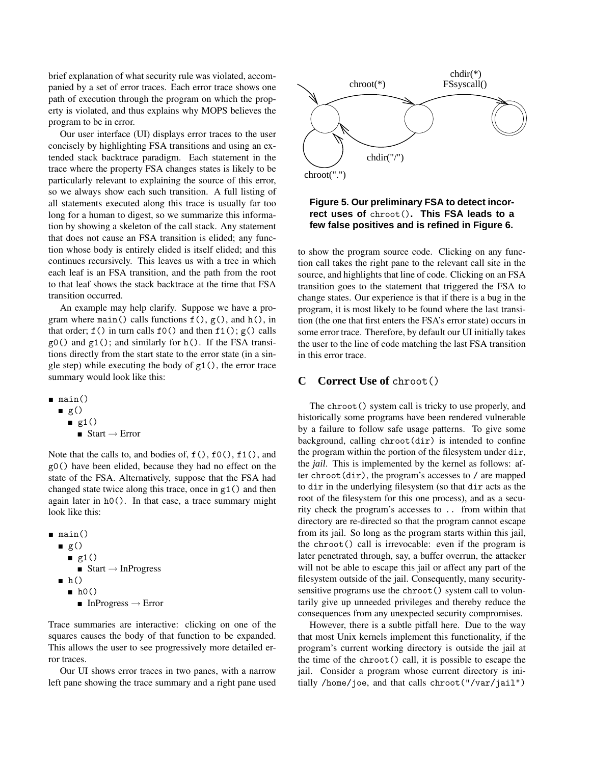brief explanation of what security rule was violated, accompanied by a set of error traces. Each error trace shows one path of execution through the program on which the property is violated, and thus explains why MOPS believes the program to be in error.

Our user interface (UI) displays error traces to the user concisely by highlighting FSA transitions and using an extended stack backtrace paradigm. Each statement in the trace where the property FSA changes states is likely to be particularly relevant to explaining the source of this error, so we always show each such transition. A full listing of all statements executed along this trace is usually far too long for a human to digest, so we summarize this information by showing a skeleton of the call stack. Any statement that does not cause an FSA transition is elided; any function whose body is entirely elided is itself elided; and this continues recursively. This leaves us with a tree in which each leaf is an FSA transition, and the path from the root to that leaf shows the stack backtrace at the time that FSA transition occurred.

An example may help clarify. Suppose we have a program where main() calls functions  $f(), g()$ , and  $h()$ , in that order;  $f()$  in turn calls  $f()()$  and then  $f1()$ ;  $g()$  calls  $g(0)$  and  $g(1)$ ; and similarly for  $h($ ). If the FSA transitions directly from the start state to the error state (in a single step) while executing the body of g1(), the error trace summary would look like this:

 $\blacksquare$  main()  $g()$  $g1()$ ■ Start  $\rightarrow$  Error

Note that the calls to, and bodies of,  $f()$ ,  $f(0)$ ,  $f(1)$ , and g0() have been elided, because they had no effect on the state of the FSA. Alternatively, suppose that the FSA had changed state twice along this trace, once in g1() and then again later in h0(). In that case, a trace summary might look like this:

 $\blacksquare$  main()  $g()$  $g1()$  $\blacksquare$  Start  $\rightarrow$  InProgress  $h()$  $h(0)$ 

 $\blacksquare$  InProgress  $\rightarrow$  Error

Trace summaries are interactive: clicking on one of the squares causes the body of that function to be expanded. This allows the user to see progressively more detailed error traces.

Our UI shows error traces in two panes, with a narrow left pane showing the trace summary and a right pane used



## **Figure 5. Our preliminary FSA to detect incorrect uses of** chroot()**. This FSA leads to a few false positives and is refined in Figure 6.**

to show the program source code. Clicking on any function call takes the right pane to the relevant call site in the source, and highlights that line of code. Clicking on an FSA transition goes to the statement that triggered the FSA to change states. Our experience is that if there is a bug in the program, it is most likely to be found where the last transition (the one that first enters the FSA's error state) occurs in some error trace. Therefore, by default our UI initially takes the user to the line of code matching the last FSA transition in this error trace.

## **C Correct Use of** chroot()

The chroot() system call is tricky to use properly, and historically some programs have been rendered vulnerable by a failure to follow safe usage patterns. To give some background, calling chroot(dir) is intended to confine the program within the portion of the filesystem under dir, the *jail*. This is implemented by the kernel as follows: after chroot(dir), the program's accesses to / are mapped to dir in the underlying filesystem (so that dir acts as the root of the filesystem for this one process), and as a security check the program's accesses to .. from within that directory are re-directed so that the program cannot escape from its jail. So long as the program starts within this jail, the chroot() call is irrevocable: even if the program is later penetrated through, say, a buffer overrun, the attacker will not be able to escape this jail or affect any part of the filesystem outside of the jail. Consequently, many securitysensitive programs use the chroot () system call to voluntarily give up unneeded privileges and thereby reduce the consequences from any unexpected security compromises.

However, there is a subtle pitfall here. Due to the way that most Unix kernels implement this functionality, if the program's current working directory is outside the jail at the time of the chroot() call, it is possible to escape the jail. Consider a program whose current directory is initially /home/joe, and that calls chroot("/var/jail")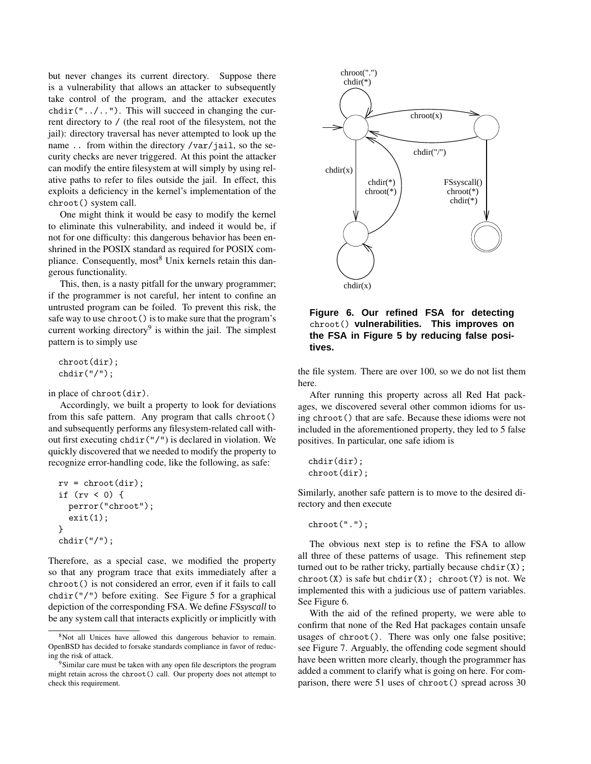but never changes its current directory. Suppose there is a vulnerability that allows an attacker to subsequently take control of the program, and the attacker executes  $chdir(".../...")$ . This will succeed in changing the current directory to / (the real root of the filesystem, not the jail): directory traversal has never attempted to look up the name . from within the directory /var/jail, so the security checks are never triggered. At this point the attacker can modify the entire filesystem at will simply by using relative paths to refer to files outside the jail. In effect, this exploits a deficiency in the kernel's implementation of the chroot() system call.

One might think it would be easy to modify the kernel to eliminate this vulnerability, and indeed it would be, if not for one difficulty: this dangerous behavior has been enshrined in the POSIX standard as required for POSIX compliance. Consequently, most<sup>8</sup> Unix kernels retain this dangerous functionality.

This, then, is a nasty pitfall for the unwary programmer; if the programmer is not careful, her intent to confine an untrusted program can be foiled. To prevent this risk, the safe way to use chroot() isto make sure that the program's current working directory<sup>9</sup> is within the jail. The simplest pattern is to simply use

chroot(dir);  $chdir("/")$ ;

in place of chroot(dir).

Accordingly, we built a property to look for deviations from this safe pattern. Any program that calls chroot() and subsequently performs any filesystem-related call without first executing chdir("/") is declared in violation. We quickly discovered that we needed to modify the property to recognize error-handling code, like the following, as safe:

```
rv = chroot(dir);
if (rv < 0) {
  perror("chroot");
  exit(1);}
chdir("/");
```
Therefore, as a special case, we modified the property so that any program trace that exits immediately after a chroot() is not considered an error, even if it fails to call chdir("/") before exiting. See Figure 5 for a graphical depiction of the corresponding FSA. We define *FSsyscall* to be any system call that interacts explicitly or implicitly with



**Figure 6. Our refined FSA for detecting** chroot() **vulnerabilities. This improves on the FSA in Figure 5 by reducing false positives.**

the file system. There are over 100, so we do not list them here.

After running this property across all Red Hat packages, we discovered several other common idioms for using chroot() that are safe. Because these idioms were not included in the aforementioned property, they led to 5 false positives. In particular, one safe idiom is

```
chdir(dir);
chroot(dir);
```
Similarly, another safe pattern is to move to the desired directory and then execute

```
chroot(".");
```
The obvious next step is to refine the FSA to allow all three of these patterns of usage. This refinement step turned out to be rather tricky, partially because chdir $(X)$ ;  $chroot(X)$  is safe but  $chdir(X)$ ; chroot(Y) is not. We implemented this with a judicious use of pattern variables. See Figure 6.

With the aid of the refined property, we were able to confirm that none of the Red Hat packages contain unsafe usages of chroot(). There was only one false positive; see Figure 7. Arguably, the offending code segment should have been written more clearly, though the programmer has added a comment to clarify what is going on here. For comparison, there were 51 uses of chroot() spread across 30

<sup>&</sup>lt;sup>8</sup>Not all Unices have allowed this dangerous behavior to remain. OpenBSD has decided to forsake standards compliance in favor of reducing the risk of attack.

<sup>&</sup>lt;sup>9</sup>Similar care must be taken with any open file descriptors the program might retain across the chroot() call. Our property does not attempt to check this requirement.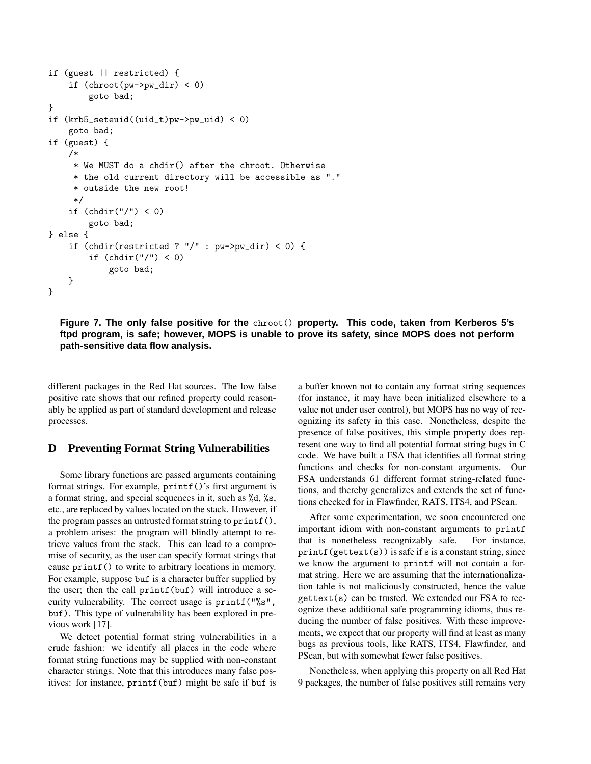```
if (guest || restricted) {
    if (chroot(pw->pw_dir) < 0)
        goto bad;
}
if (krb5_seteuid((uid_t)pw->pw_uid) < 0)
    goto bad;
if (guest) {
    /*
     * We MUST do a chdir() after the chroot. Otherwise
     * the old current directory will be accessible as "."
     * outside the new root!
     */
    if (chdir("/") < 0)
        goto bad;
} else {
    if (chdir(restricted ? "/" : pw->pw\_dir) < 0) {
        if (chdir("/") < 0)goto bad;
    }
}
```
**Figure 7. The only false positive for the** chroot() **property. This code, taken from Kerberos 5's ftpd program, is safe; however, MOPS is unable to prove its safety, since MOPS does not perform path-sensitive data flow analysis.**

different packages in the Red Hat sources. The low false positive rate shows that our refined property could reasonably be applied as part of standard development and release processes.

## **D Preventing Format String Vulnerabilities**

Some library functions are passed arguments containing format strings. For example, printf()'s first argument is a format string, and special sequences in it, such as %d, %s, etc., are replaced by values located on the stack. However, if the program passes an untrusted format string to printf(), a problem arises: the program will blindly attempt to retrieve values from the stack. This can lead to a compromise of security, as the user can specify format strings that cause printf() to write to arbitrary locations in memory. For example, suppose buf is a character buffer supplied by the user; then the call printf(buf) will introduce a security vulnerability. The correct usage is printf("%s", buf). This type of vulnerability has been explored in previous work [17].

We detect potential format string vulnerabilities in a crude fashion: we identify all places in the code where format string functions may be supplied with non-constant character strings. Note that this introduces many false positives: for instance, printf(buf) might be safe if buf is a buffer known not to contain any format string sequences (for instance, it may have been initialized elsewhere to a value not under user control), but MOPS has no way of recognizing its safety in this case. Nonetheless, despite the presence of false positives, this simple property does represent one way to find all potential format string bugs in C code. We have built a FSA that identifies all format string functions and checks for non-constant arguments. Our FSA understands 61 different format string-related functions, and thereby generalizes and extends the set of functions checked for in Flawfinder, RATS, ITS4, and PScan.

After some experimentation, we soon encountered one important idiom with non-constant arguments to printf that is nonetheless recognizably safe. For instance, printf(gettext(s)) is safe if s is a constant string, since we know the argument to printf will not contain a format string. Here we are assuming that the internationalization table is not maliciously constructed, hence the value gettext(s) can be trusted. We extended our FSA to recognize these additional safe programming idioms, thus reducing the number of false positives. With these improvements, we expect that our property will find at least as many bugs as previous tools, like RATS, ITS4, Flawfinder, and PScan, but with somewhat fewer false positives.

Nonetheless, when applying this property on all Red Hat 9 packages, the number of false positives still remains very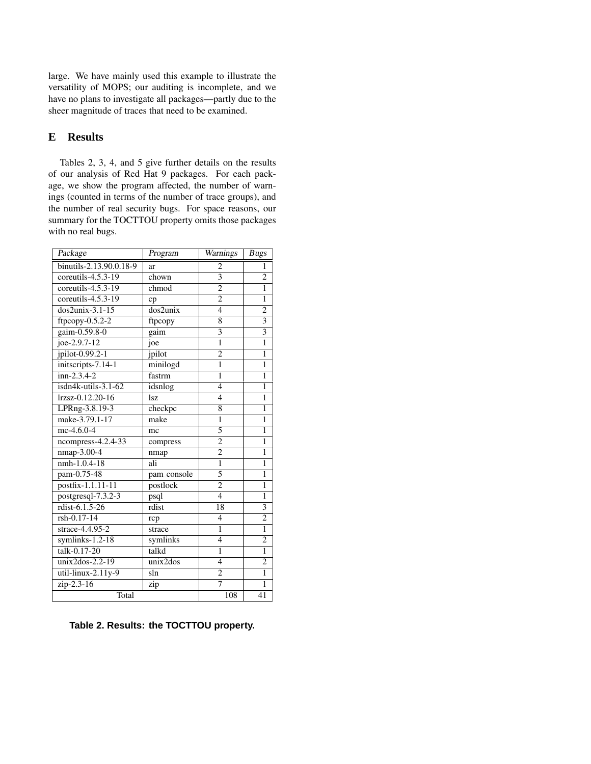large. We have mainly used this example to illustrate the versatility of MOPS; our auditing is incomplete, and we have no plans to investigate all packages—partly due to the sheer magnitude of traces that need to be examined.

# **E Results**

Tables 2, 3, 4, and 5 give further details on the results of our analysis of Red Hat 9 packages. For each package, we show the program affected, the number of warnings (counted in terms of the number of trace groups), and the number of real security bugs. For space reasons, our summary for the TOCTTOU property omits those packages with no real bugs.

| Package                 | Program         | Warnings       | <b>Bugs</b>    |
|-------------------------|-----------------|----------------|----------------|
| binutils-2.13.90.0.18-9 | ar              | $\overline{2}$ | 1              |
| coreutils-4.5.3-19      | chown           | 3              | $\overline{c}$ |
| coreutils-4.5.3-19      | chmod           | $\overline{2}$ | 1              |
| coreutils- $4.5.3-19$   | cp              | $\overline{2}$ | 1              |
| $dos2unix-3.1-15$       | $d$ os $2$ unix | $\overline{4}$ | $\overline{c}$ |
| ftpcopy- $0.5.2-2$      | ftpcopy         | 8              | $\overline{3}$ |
| gaim-0.59.8-0           | gaim            | $\overline{3}$ | $\overline{3}$ |
| $joe-2.9.7-12$          | joe             | $\mathbf{1}$   | $\mathbf{1}$   |
| jpilot-0.99.2-1         | jpilot          | $\overline{2}$ | 1              |
| initscripts-7.14-1      | minilogd        | $\overline{1}$ | 1              |
| $inn-2.3.4-2$           | fastrm          | 1              | 1              |
| isdn4k-utils-3.1-62     | idsnlog         | 4              | 1              |
| lrzsz-0.12.20-16        | lsz             | $\overline{4}$ | 1              |
| LPRng-3.8.19-3          | checkpc         | 8              | 1              |
| make-3.79.1-17          | make            | 1              | 1              |
| $mc-4.6.0-4$            | mc              | 5              | $\mathbf{1}$   |
| $ncompress-4.2.4-33$    | compress        | $\overline{2}$ | 1              |
| nmap-3.00-4             | nmap            | $\overline{c}$ | 1              |
| nmh-1.0.4-18            | ali             | 1              | 1              |
| pam-0.75-48             | pam_console     | 5              | 1              |
| postfix-1.1.11-11       | postlock        | $\overline{2}$ | 1              |
| postgresql-7.3.2-3      | psql            | $\overline{4}$ | 1              |
| rdist-6.1.5-26          | rdist           | 18             | $\overline{3}$ |
| rsh-0.17-14             | rcp             | $\overline{4}$ | $\overline{2}$ |
| strace-4.4.95-2         | strace          | 1              | 1              |
| symlinks-1.2-18         | symlinks        | $\overline{4}$ | $\overline{2}$ |
| talk-0.17-20            | talkd           | $\mathbf{1}$   | $\mathbf{1}$   |
| $unix2dos-2.2-19$       | unix2dos        | 4              | $\overline{2}$ |
| $util$ -linux-2.11y-9   | sln             | $\overline{2}$ | 1              |
| zip-2.3-16              | zip             | 7              | 1              |
| Total                   |                 | 108            | 41             |

**Table 2. Results: the TOCTTOU property.**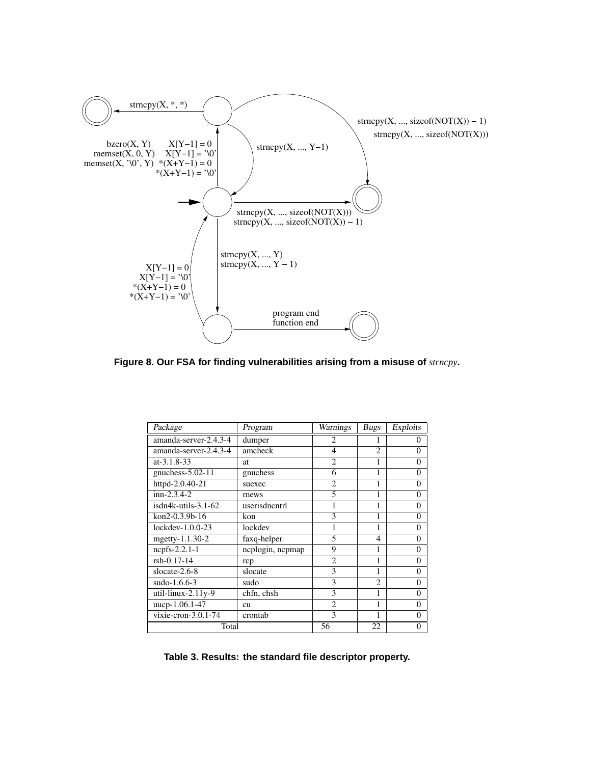

**Figure 8. Our FSA for finding vulnerabilities arising from a misuse of** *strncpy***.**

| Package                    | Program          | Warnings       | <b>Bugs</b>    | Exploits       |
|----------------------------|------------------|----------------|----------------|----------------|
| amanda-server-2.4.3-4      | dumper           | $\overline{c}$ |                | 0              |
| amanda-server-2.4.3-4      | amcheck          | 4              | $\overline{c}$ | $\theta$       |
| at-3.1.8-33                | at               | $\overline{2}$ | 1              | $\overline{0}$ |
| gnuchess- $5.02-11$        | gnuchess         | 6              | 1              | $\theta$       |
| httpd-2.0.40-21            | suexec           | $\overline{2}$ | 1              | $\theta$       |
| $inn-2.3.4-2$              | rnews            | 5              | 1              | $\theta$       |
| isdn $4k$ -utils- $3.1-62$ | userisdncntrl    | 1              | 1              | $\theta$       |
| kon2-0.3.9b-16             | kon              | 3              | 1              | $\theta$       |
| lockdev-1.0.0-23           | lockdev          |                | 1              | $\theta$       |
| mgetty-1.1.30-2            | faxq-helper      | 5              | 4              | $\theta$       |
| $ncpfs-2.2.1-1$            | ncplogin, ncpmap | 9              |                | $\theta$       |
| rsh-0.17-14                | rcp              | $\overline{c}$ | 1              | $\theta$       |
| slocate-2.6-8              | slocate          | 3              | 1              | $\theta$       |
| sudo-1.6.6-3               | sudo             | 3              | $\overline{c}$ | $\theta$       |
| $util$ -linux-2.11y-9      | chfn, chsh       | 3              |                | $\theta$       |
| uucp-1.06.1-47             | cu               | $\overline{2}$ | 1              | $\theta$       |
| vixie-cron- $3.0$ . 1-74   | crontab          | 3              |                | $\theta$       |
| Total                      |                  | 56             | 22             | 0              |

**Table 3. Results: the standard file descriptor property.**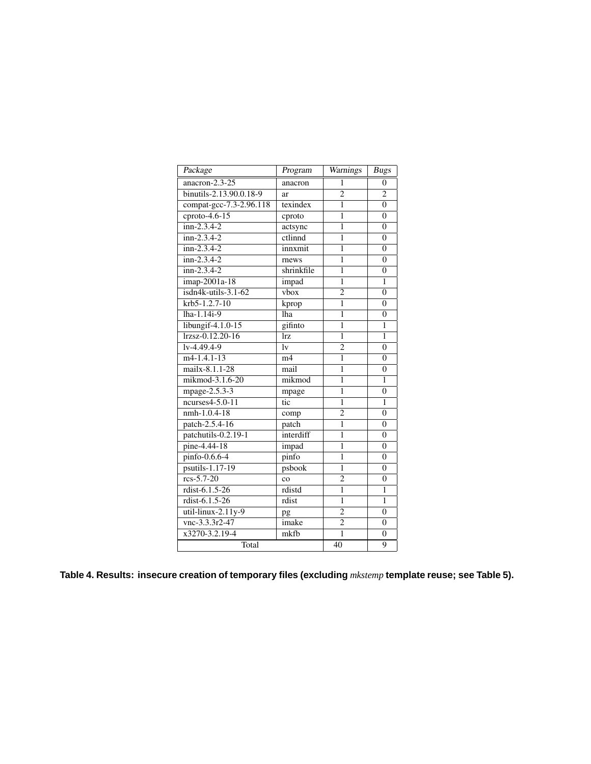| Package                         | Program        | Warnings       | <b>Bugs</b>    |
|---------------------------------|----------------|----------------|----------------|
| anacron-2.3-25                  | anacron        | $\mathbf{1}$   | $\theta$       |
| binutils-2.13.90.0.18-9         | ar             | $\overline{c}$ | $\overline{c}$ |
| compat-gcc-7.3-2.96.118         | texindex       | 1              | $\overline{0}$ |
| cproto-4.6-15                   | cproto         | 1              | $\theta$       |
| $inn-2.3.4-2$                   | actsync        | $\mathbf{1}$   | $\overline{0}$ |
| $inn-2.3.4-2$                   | ctlinnd        | $\mathbf{1}$   | $\theta$       |
| $inn-2.3.4-2$                   | innxmit        | $\overline{1}$ | $\overline{0}$ |
| $inn-2.3.4-2$                   | rnews          | $\mathbf{1}$   | $\theta$       |
| $inn-2.3.4-2$                   | shrinkfile     | 1              | $\overline{0}$ |
| imap-2001a-18                   | impad          | $\mathbf{1}$   | 1              |
| isdn4k-utils-3.1-62             | vbox           | $\overline{c}$ | $\overline{0}$ |
| $krb5-1.2.7-10$                 | kprop          | $\overline{1}$ | $\theta$       |
| $\overline{\text{lha-1.14i-9}}$ | lha            | 1              | $\theta$       |
| libungif-4.1.0-15               | gifinto        | 1              | 1              |
| lrzsz-0.12.20-16                | lrz            | $\mathbf{1}$   | 1              |
| $1v-4.49.4-9$                   | $\mathbf{v}$   | $\overline{2}$ | $\overline{0}$ |
| $m4-1.4.1-13$                   | m4             | $\mathbf{1}$   | $\theta$       |
| mailx-8.1.1-28                  | mail           | 1              | 0              |
| mikmod-3.1.6-20                 | mikmod         | $\mathbf{1}$   | 1              |
| mpage-2.5.3-3                   | mpage          | $\mathbf{1}$   | $\overline{0}$ |
| ncurses4-5.0-11                 | tic            | $\mathbf{1}$   | 1              |
| nmh-1.0.4-18                    | comp           | $\overline{2}$ | $\theta$       |
| patch-2.5.4-16                  | patch          | $\mathbf{1}$   | $\overline{0}$ |
| patchutils-0.2.19-1             | interdiff      | $\mathbf{1}$   | $\theta$       |
| pine-4.44-18                    | impad          | $\mathbf{1}$   | $\theta$       |
| $pinfo-0.6.6-4$                 | pinfo          | $\mathbf{1}$   | $\overline{0}$ |
| psutils-1.17-19                 | psbook         | 1              | 0              |
| $res-5.7-20$                    | $\overline{c}$ | $\overline{2}$ | $\overline{0}$ |
| rdist-6.1.5-26                  | rdistd         | $\mathbf{1}$   | 1              |
| rdist-6.1.5-26                  | rdist          | $\mathbf{1}$   | 1              |
| $util-linux-2.11y-9$            | pg             | $\overline{2}$ | $\overline{0}$ |
| vnc-3.3.3r2-47                  | imake          | $\overline{c}$ | 0              |
| x3270-3.2.19-4                  | mkfb           | $\overline{1}$ | $\overline{0}$ |
| Total                           |                | 40             | $\overline{9}$ |

**Table 4. Results: insecure creation of temporary files (excluding** *mkstemp* **template reuse; see Table 5).**